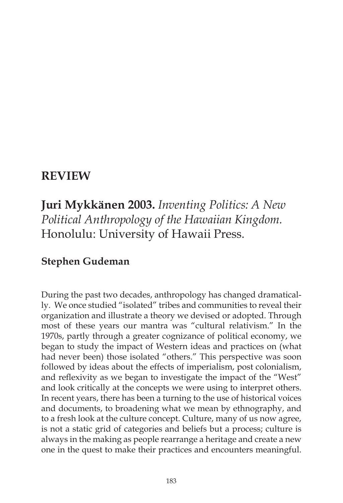## **REVIEW**

**Juri Mykkänen 2003.** *Inventing Politics: A New Political Anthropology of the Hawaiian Kingdom.* Honolulu: University of Hawaii Press.

## **Stephen Gudeman**

During the past two decades, anthropology has changed dramatically. We once studied "isolated" tribes and communities to reveal their organization and illustrate a theory we devised or adopted. Through most of these years our mantra was "cultural relativism." In the 1970s, partly through a greater cognizance of political economy, we began to study the impact of Western ideas and practices on (what had never been) those isolated "others." This perspective was soon followed by ideas about the effects of imperialism, post colonialism, and reflexivity as we began to investigate the impact of the "West" and look critically at the concepts we were using to interpret others. In recent years, there has been a turning to the use of historical voices and documents, to broadening what we mean by ethnography, and to a fresh look at the culture concept. Culture, many of us now agree, is not a static grid of categories and beliefs but a process; culture is always in the making as people rearrange a heritage and create a new one in the quest to make their practices and encounters meaningful.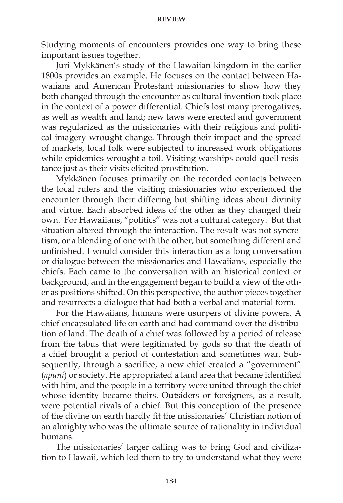Studying moments of encounters provides one way to bring these important issues together.

Juri Mykkänen's study of the Hawaiian kingdom in the earlier 1800s provides an example. He focuses on the contact between Hawaiians and American Protestant missionaries to show how they both changed through the encounter as cultural invention took place in the context of a power differential. Chiefs lost many prerogatives, as well as wealth and land; new laws were erected and government was regularized as the missionaries with their religious and political imagery wrought change. Through their impact and the spread of markets, local folk were subjected to increased work obligations while epidemics wrought a toil. Visiting warships could quell resistance just as their visits elicited prostitution.

Mykkänen focuses primarily on the recorded contacts between the local rulers and the visiting missionaries who experienced the encounter through their differing but shifting ideas about divinity and virtue. Each absorbed ideas of the other as they changed their own. For Hawaiians, "politics" was not a cultural category. But that situation altered through the interaction. The result was not syncretism, or a blending of one with the other, but something different and unfinished. I would consider this interaction as a long conversation or dialogue between the missionaries and Hawaiians, especially the chiefs. Each came to the conversation with an historical context or background, and in the engagement began to build a view of the other as positions shifted. On this perspective, the author pieces together and resurrects a dialogue that had both a verbal and material form.

For the Hawaiians, humans were usurpers of divine powers. A chief encapsulated life on earth and had command over the distribution of land. The death of a chief was followed by a period of release from the tabus that were legitimated by gods so that the death of a chief brought a period of contestation and sometimes war. Subsequently, through a sacrifice, a new chief created a "government" (*apuni*) or society. He appropriated a land area that became identified with him, and the people in a territory were united through the chief whose identity became theirs. Outsiders or foreigners, as a result, were potential rivals of a chief. But this conception of the presence of the divine on earth hardly fit the missionaries' Christian notion of an almighty who was the ultimate source of rationality in individual humans.

The missionaries' larger calling was to bring God and civilization to Hawaii, which led them to try to understand what they were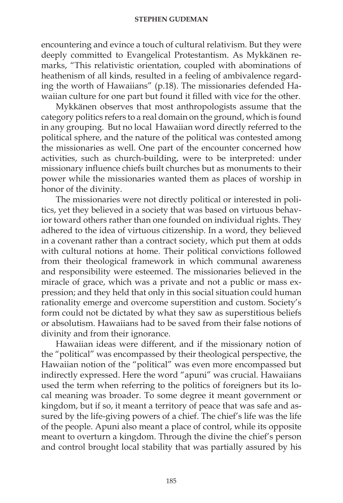encountering and evince a touch of cultural relativism. But they were deeply committed to Evangelical Protestantism. As Mykkänen remarks, "This relativistic orientation, coupled with abominations of heathenism of all kinds, resulted in a feeling of ambivalence regarding the worth of Hawaiians" (p.18). The missionaries defended Hawaiian culture for one part but found it filled with vice for the other.

Mykkänen observes that most anthropologists assume that the category politics refers to a real domain on the ground, which is found in any grouping. But no local Hawaiian word directly referred to the political sphere, and the nature of the political was contested among the missionaries as well. One part of the encounter concerned how activities, such as church-building, were to be interpreted: under missionary influence chiefs built churches but as monuments to their power while the missionaries wanted them as places of worship in honor of the divinity.

The missionaries were not directly political or interested in politics, yet they believed in a society that was based on virtuous behavior toward others rather than one founded on individual rights. They adhered to the idea of virtuous citizenship. In a word, they believed in a covenant rather than a contract society, which put them at odds with cultural notions at home. Their political convictions followed from their theological framework in which communal awareness and responsibility were esteemed. The missionaries believed in the miracle of grace, which was a private and not a public or mass expression; and they held that only in this social situation could human rationality emerge and overcome superstition and custom. Society's form could not be dictated by what they saw as superstitious beliefs or absolutism. Hawaiians had to be saved from their false notions of divinity and from their ignorance.

Hawaiian ideas were different, and if the missionary notion of the "political" was encompassed by their theological perspective, the Hawaiian notion of the "political" was even more encompassed but indirectly expressed. Here the word "apuni" was crucial. Hawaiians used the term when referring to the politics of foreigners but its local meaning was broader. To some degree it meant government or kingdom, but if so, it meant a territory of peace that was safe and assured by the life-giving powers of a chief. The chief's life was the life of the people. Apuni also meant a place of control, while its opposite meant to overturn a kingdom. Through the divine the chief's person and control brought local stability that was partially assured by his